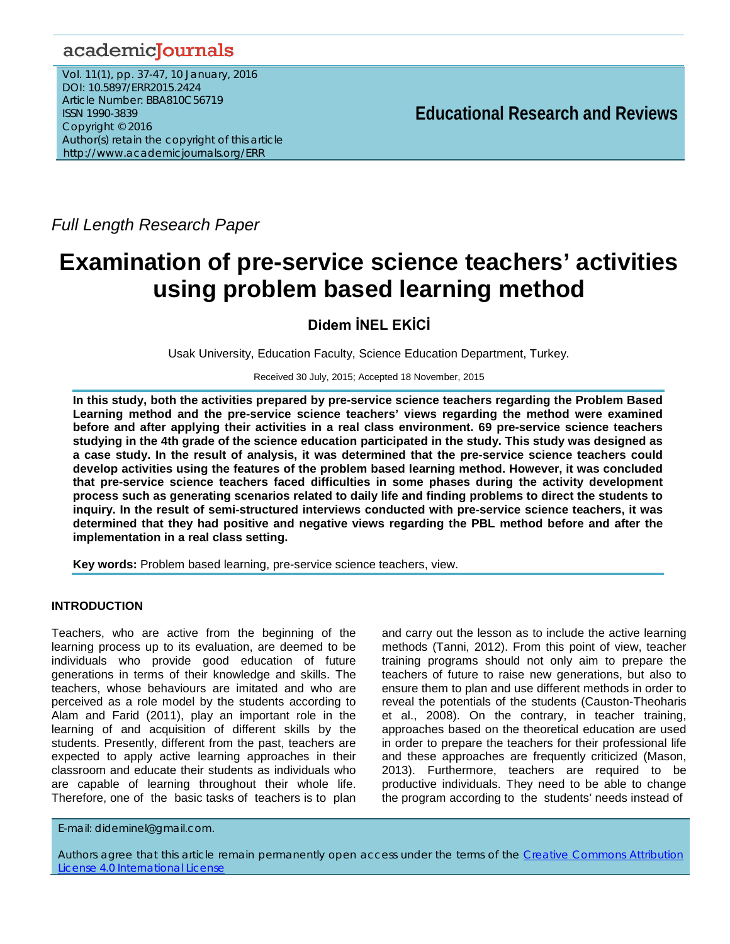# academicJournals

Vol. 11(1), pp. 37-47, 10 January, 2016 DOI: 10.5897/ERR2015.2424 Article Number: BBA810C56719 ISSN 1990-3839 Copyright © 2016 Author(s) retain the copyright of this article http://www.academicjournals.org/ERR

**Educational Research and Reviews**

*Full Length Research Paper*

# **Examination of pre-service science teachers' activities using problem based learning method**

# **Didem İNEL EKİCİ**

Usak University, Education Faculty, Science Education Department, Turkey.

Received 30 July, 2015; Accepted 18 November, 2015

**In this study, both the activities prepared by pre-service science teachers regarding the Problem Based Learning method and the pre-service science teachers' views regarding the method were examined before and after applying their activities in a real class environment. 69 pre-service science teachers studying in the 4th grade of the science education participated in the study. This study was designed as a case study. In the result of analysis, it was determined that the pre-service science teachers could develop activities using the features of the problem based learning method. However, it was concluded that pre-service science teachers faced difficulties in some phases during the activity development process such as generating scenarios related to daily life and finding problems to direct the students to inquiry. In the result of semi-structured interviews conducted with pre-service science teachers, it was determined that they had positive and negative views regarding the PBL method before and after the implementation in a real class setting.**

**Key words:** Problem based learning, pre-service science teachers, view.

#### **INTRODUCTION**

Teachers, who are active from the beginning of the learning process up to its evaluation, are deemed to be individuals who provide good education of future generations in terms of their knowledge and skills. The teachers, whose behaviours are imitated and who are perceived as a role model by the students according to Alam and Farid (2011), play an important role in the learning of and acquisition of different skills by the students. Presently, different from the past, teachers are expected to apply active learning approaches in their classroom and educate their students as individuals who are capable of learning throughout their whole life. Therefore, one of the basic tasks of teachers is to plan

and carry out the lesson as to include the active learning methods (Tanni, 2012). From this point of view, teacher training programs should not only aim to prepare the teachers of future to raise new generations, but also to ensure them to plan and use different methods in order to reveal the potentials of the students (Causton-Theoharis et al., 2008). On the contrary, in teacher training, approaches based on the theoretical education are used in order to prepare the teachers for their professional life and these approaches are frequently criticized (Mason, 2013). Furthermore, teachers are required to be productive individuals. They need to be able to change the program according to the students' needs instead of

E-mail: dideminel@gmail.com.

Authors agree that this article remain permanently open access under the terms of the Creative Commons Attribution License 4.0 International License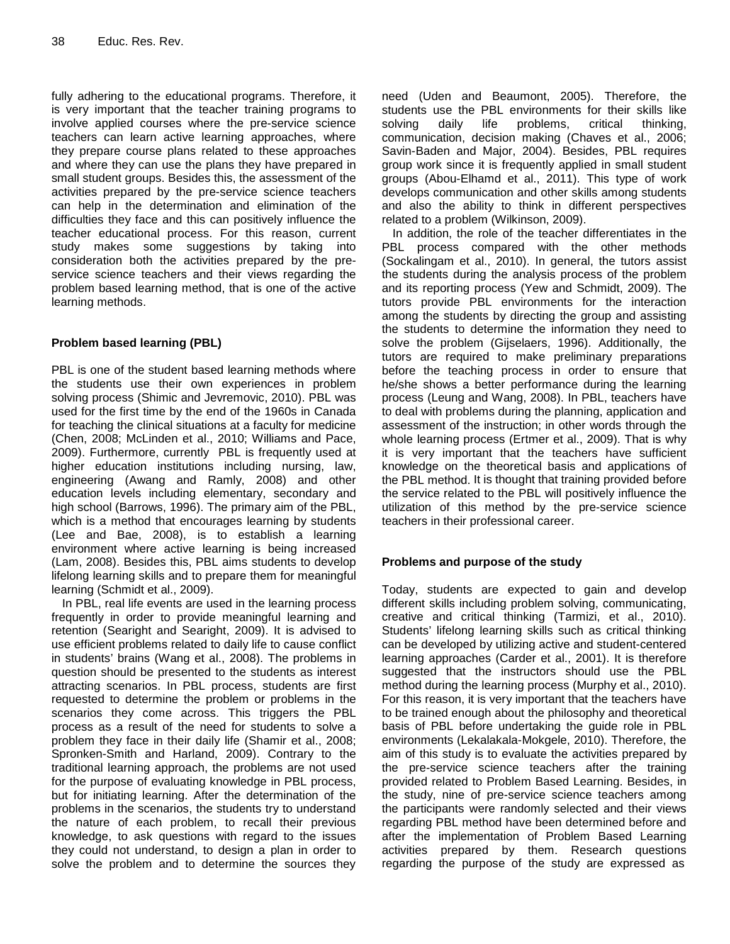fully adhering to the educational programs. Therefore, it is very important that the teacher training programs to involve applied courses where the pre-service science teachers can learn active learning approaches, where they prepare course plans related to these approaches and where they can use the plans they have prepared in small student groups. Besides this, the assessment of the activities prepared by the pre-service science teachers can help in the determination and elimination of the difficulties they face and this can positively influence the teacher educational process. For this reason, current study makes some suggestions by taking into consideration both the activities prepared by the preservice science teachers and their views regarding the problem based learning method, that is one of the active learning methods.

# **Problem based learning (PBL)**

PBL is one of the student based learning methods where the students use their own experiences in problem solving process (Shimic and Jevremovic, 2010). PBL was used for the first time by the end of the 1960s in Canada for teaching the clinical situations at a faculty for medicine (Chen, 2008; McLinden et al., 2010; Williams and Pace, 2009). Furthermore, currently PBL is frequently used at higher education institutions including nursing, law, engineering (Awang and Ramly, 2008) and other education levels including elementary, secondary and high school (Barrows, 1996). The primary aim of the PBL, which is a method that encourages learning by students (Lee and Bae, 2008), is to establish a learning environment where active learning is being increased (Lam, 2008). Besides this, PBL aims students to develop lifelong learning skills and to prepare them for meaningful learning (Schmidt et al., 2009).

In PBL, real life events are used in the learning process frequently in order to provide meaningful learning and retention (Searight and Searight, 2009). It is advised to use efficient problems related to daily life to cause conflict in students' brains (Wang et al., 2008). The problems in question should be presented to the students as interest attracting scenarios. In PBL process, students are first requested to determine the problem or problems in the scenarios they come across. This triggers the PBL process as a result of the need for students to solve a problem they face in their daily life (Shamir et al., 2008; Spronken-Smith and Harland, 2009). Contrary to the traditional learning approach, the problems are not used for the purpose of evaluating knowledge in PBL process, but for initiating learning. After the determination of the problems in the scenarios, the students try to understand the nature of each problem, to recall their previous knowledge, to ask questions with regard to the issues they could not understand, to design a plan in order to solve the problem and to determine the sources they

need (Uden and Beaumont, 2005). Therefore, the students use the PBL environments for their skills like solving daily life problems, critical thinking, communication, decision making (Chaves et al., 2006; Savin-Baden and Major, 2004). Besides, PBL requires group work since it is frequently applied in small student groups (Abou-Elhamd et al., 2011). This type of work develops communication and other skills among students and also the ability to think in different perspectives related to a problem (Wilkinson, 2009).

In addition, the role of the teacher differentiates in the PBL process compared with the other methods (Sockalingam et al., 2010). In general, the tutors assist the students during the analysis process of the problem and its reporting process (Yew and Schmidt, 2009). The tutors provide PBL environments for the interaction among the students by directing the group and assisting the students to determine the information they need to solve the problem (Gijselaers, 1996). Additionally, the tutors are required to make preliminary preparations before the teaching process in order to ensure that he/she shows a better performance during the learning process (Leung and Wang, 2008). In PBL, teachers have to deal with problems during the planning, application and assessment of the instruction; in other words through the whole learning process (Ertmer et al., 2009). That is why it is very important that the teachers have sufficient knowledge on the theoretical basis and applications of the PBL method. It is thought that training provided before the service related to the PBL will positively influence the utilization of this method by the pre-service science teachers in their professional career.

#### **Problems and purpose of the study**

Today, students are expected to gain and develop different skills including problem solving, communicating, creative and critical thinking (Tarmizi, et al., 2010). Students' lifelong learning skills such as critical thinking can be developed by utilizing active and student-centered learning approaches (Carder et al., 2001). It is therefore suggested that the instructors should use the PBL method during the learning process (Murphy et al., 2010). For this reason, it is very important that the teachers have to be trained enough about the philosophy and theoretical basis of PBL before undertaking the guide role in PBL environments (Lekalakala-Mokgele, 2010). Therefore, the aim of this study is to evaluate the activities prepared by the pre-service science teachers after the training provided related to Problem Based Learning. Besides, in the study, nine of pre-service science teachers among the participants were randomly selected and their views regarding PBL method have been determined before and after the implementation of Problem Based Learning activities prepared by them. Research questions regarding the purpose of the study are expressed as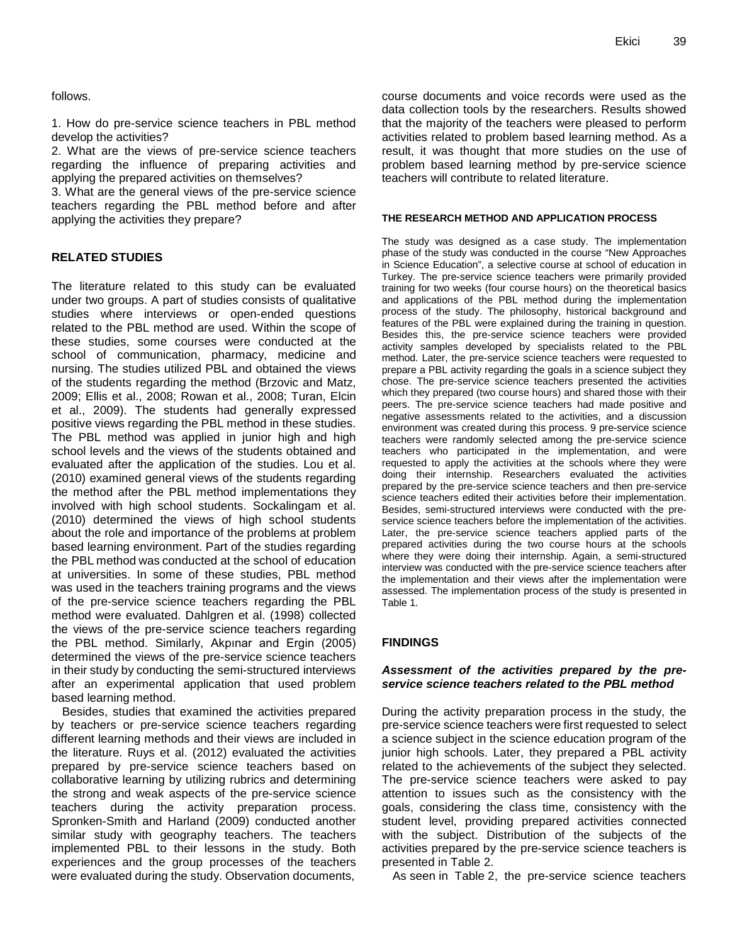follows.

1. How do pre-service science teachers in PBL method develop the activities?

2. What are the views of pre-service science teachers regarding the influence of preparing activities and applying the prepared activities on themselves?

3. What are the general views of the pre-service science teachers regarding the PBL method before and after applying the activities they prepare?

# **RELATED STUDIES**

The literature related to this study can be evaluated under two groups. A part of studies consists of qualitative studies where interviews or open-ended questions related to the PBL method are used. Within the scope of these studies, some courses were conducted at the school of communication, pharmacy, medicine and nursing. The studies utilized PBL and obtained the views of the students regarding the method (Brzovic and Matz, 2009; Ellis et al., 2008; Rowan et al., 2008; Turan, Elcin et al., 2009). The students had generally expressed positive views regarding the PBL method in these studies. The PBL method was applied in junior high and high school levels and the views of the students obtained and evaluated after the application of the studies. Lou et al. (2010) examined general views of the students regarding the method after the PBL method implementations they involved with high school students. Sockalingam et al. (2010) determined the views of high school students about the role and importance of the problems at problem based learning environment. Part of the studies regarding the PBL method was conducted at the school of education at universities. In some of these studies, PBL method was used in the teachers training programs and the views of the pre-service science teachers regarding the PBL method were evaluated. Dahlgren et al. (1998) collected the views of the pre-service science teachers regarding the PBL method. Similarly, Akpınar and Ergin (2005) determined the views of the pre-service science teachers in their study by conducting the semi-structured interviews after an experimental application that used problem based learning method.

Besides, studies that examined the activities prepared by teachers or pre-service science teachers regarding different learning methods and their views are included in the literature. Ruys et al. (2012) evaluated the activities prepared by pre-service science teachers based on collaborative learning by utilizing rubrics and determining the strong and weak aspects of the pre-service science teachers during the activity preparation process. Spronken-Smith and Harland (2009) conducted another similar study with geography teachers. The teachers implemented PBL to their lessons in the study. Both experiences and the group processes of the teachers were evaluated during the study. Observation documents,

course documents and voice records were used as the data collection tools by the researchers. Results showed that the majority of the teachers were pleased to perform activities related to problem based learning method. As a result, it was thought that more studies on the use of problem based learning method by pre-service science teachers will contribute to related literature.

#### **THE RESEARCH METHOD AND APPLICATION PROCESS**

The study was designed as a case study. The implementation phase of the study was conducted in the course "New Approaches in Science Education", a selective course at school of education in Turkey. The pre-service science teachers were primarily provided training for two weeks (four course hours) on the theoretical basics and applications of the PBL method during the implementation process of the study. The philosophy, historical background and features of the PBL were explained during the training in question. Besides this, the pre-service science teachers were provided activity samples developed by specialists related to the PBL method. Later, the pre-service science teachers were requested to prepare a PBL activity regarding the goals in a science subject they chose. The pre-service science teachers presented the activities which they prepared (two course hours) and shared those with their peers. The pre-service science teachers had made positive and negative assessments related to the activities, and a discussion environment was created during this process. 9 pre-service science teachers were randomly selected among the pre-service science teachers who participated in the implementation, and were requested to apply the activities at the schools where they were doing their internship. Researchers evaluated the activities prepared by the pre-service science teachers and then pre-service science teachers edited their activities before their implementation. Besides, semi-structured interviews were conducted with the preservice science teachers before the implementation of the activities. Later, the pre-service science teachers applied parts of the prepared activities during the two course hours at the schools where they were doing their internship. Again, a semi-structured interview was conducted with the pre-service science teachers after the implementation and their views after the implementation were assessed. The implementation process of the study is presented in Table 1.

# **FINDINGS**

#### *Assessment of the activities prepared by the preservice science teachers related to the PBL method*

During the activity preparation process in the study, the pre-service science teachers were first requested to select a science subject in the science education program of the junior high schools. Later, they prepared a PBL activity related to the achievements of the subject they selected. The pre-service science teachers were asked to pay attention to issues such as the consistency with the goals, considering the class time, consistency with the student level, providing prepared activities connected with the subject. Distribution of the subjects of the activities prepared by the pre-service science teachers is presented in Table 2.

As seen in Table 2, the pre-service science teachers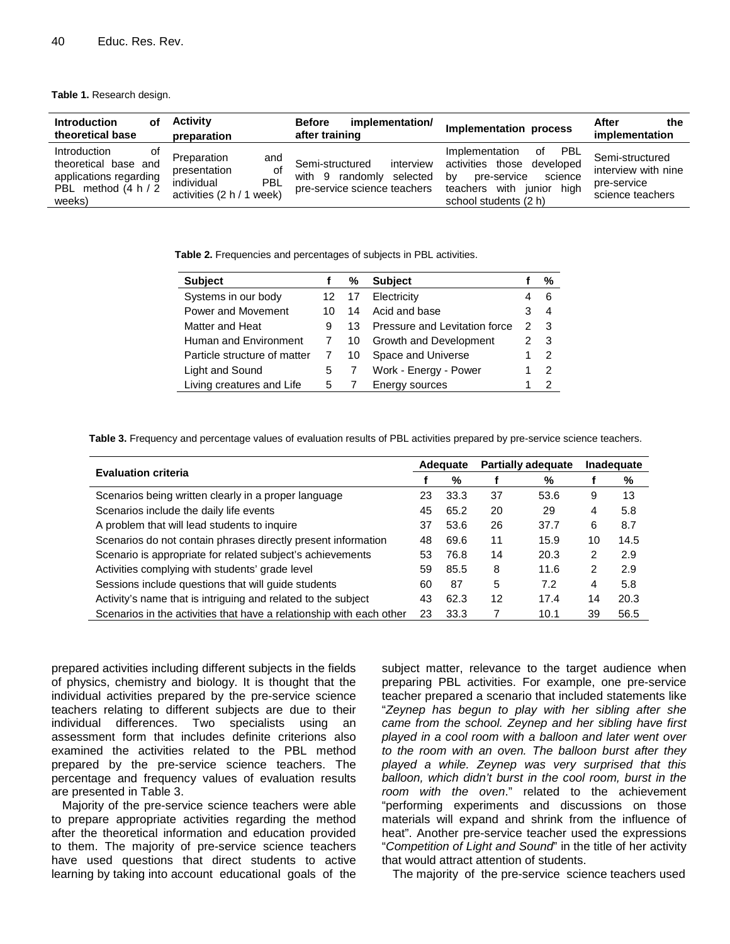**Table 1.** Research design.

| <b>Introduction</b><br>Οf<br>theoretical base                                                         | <b>Activity</b><br>preparation                                                             | <b>Before</b><br>implementation/<br>after training                                             | Implementation process                                                                                                                                   | After<br>the<br><i>implementation</i>                                     |
|-------------------------------------------------------------------------------------------------------|--------------------------------------------------------------------------------------------|------------------------------------------------------------------------------------------------|----------------------------------------------------------------------------------------------------------------------------------------------------------|---------------------------------------------------------------------------|
| Introduction<br>οt<br>theoretical base and<br>applications regarding<br>PBL method (4 h / 2<br>weeks) | Preparation<br>and<br>presentation<br>οf<br>PBL<br>individual<br>activities (2 h / 1 week) | Semi-structured<br>interview<br>with 9<br>selected<br>randomly<br>pre-service science teachers | 0f<br>PBL<br>Implementation<br>activities those<br>developed<br>bv<br>pre-service<br>science<br>junior high<br>teachers<br>with<br>school students (2 h) | Semi-structured<br>interview with nine<br>pre-service<br>science teachers |

**Table 2.** Frequencies and percentages of subjects in PBL activities.

| <b>Subject</b>               |    | %   | <b>Subject</b>                |   | %              |
|------------------------------|----|-----|-------------------------------|---|----------------|
| Systems in our body          | 12 | 17  | Electricity                   | 4 | 6              |
| Power and Movement           | 10 | 14  | Acid and base                 | з | $\overline{4}$ |
| Matter and Heat              | 9  | 13. | Pressure and Levitation force | 2 | - 3            |
| Human and Environment        |    | 10  | <b>Growth and Development</b> | 2 | - 3            |
| Particle structure of matter |    | -10 | Space and Universe            |   | $\mathcal{P}$  |
| Light and Sound              | 5  |     | Work - Energy - Power         |   | 2              |
| Living creatures and Life    |    |     | Energy sources                |   |                |

**Table 3.** Frequency and percentage values of evaluation results of PBL activities prepared by pre-service science teachers.

| <b>Evaluation criteria</b>                                           |    | Adequate | <b>Partially adequate</b> |      | Inadequate |      |
|----------------------------------------------------------------------|----|----------|---------------------------|------|------------|------|
|                                                                      |    | %        |                           | %    |            | %    |
| Scenarios being written clearly in a proper language                 | 23 | 33.3     | 37                        | 53.6 | 9          | 13   |
| Scenarios include the daily life events                              | 45 | 65.2     | 20                        | 29   | 4          | 5.8  |
| A problem that will lead students to inquire                         | 37 | 53.6     | 26                        | 37.7 | 6          | 8.7  |
| Scenarios do not contain phrases directly present information        | 48 | 69.6     | 11                        | 15.9 | 10         | 14.5 |
| Scenario is appropriate for related subject's achievements           | 53 | 76.8     | 14                        | 20.3 | 2          | 2.9  |
| Activities complying with students' grade level                      | 59 | 85.5     | 8                         | 11.6 | 2          | 2.9  |
| Sessions include questions that will guide students                  | 60 | 87       | 5                         | 7.2  | 4          | 5.8  |
| Activity's name that is intriguing and related to the subject        | 43 | 62.3     | 12                        | 17.4 | 14         | 20.3 |
| Scenarios in the activities that have a relationship with each other |    | 33.3     |                           | 10.1 | 39         | 56.5 |

prepared activities including different subjects in the fields of physics, chemistry and biology. It is thought that the individual activities prepared by the pre-service science teachers relating to different subjects are due to their individual differences. Two specialists using an assessment form that includes definite criterions also examined the activities related to the PBL method prepared by the pre-service science teachers. The percentage and frequency values of evaluation results are presented in Table 3.

Majority of the pre-service science teachers were able to prepare appropriate activities regarding the method after the theoretical information and education provided to them. The majority of pre-service science teachers have used questions that direct students to active learning by taking into account educational goals of the subject matter, relevance to the target audience when preparing PBL activities. For example, one pre-service teacher prepared a scenario that included statements like "*Zeynep has begun to play with her sibling after she came from the school. Zeynep and her sibling have first played in a cool room with a balloon and later went over to the room with an oven. The balloon burst after they played a while. Zeynep was very surprised that this balloon, which didn't burst in the cool room, burst in the room with the oven*." related to the achievement "performing experiments and discussions on those materials will expand and shrink from the influence of heat". Another pre-service teacher used the expressions "*Competition of Light and Sound*" in the title of her activity that would attract attention of students.

The majority of the pre-service science teachers used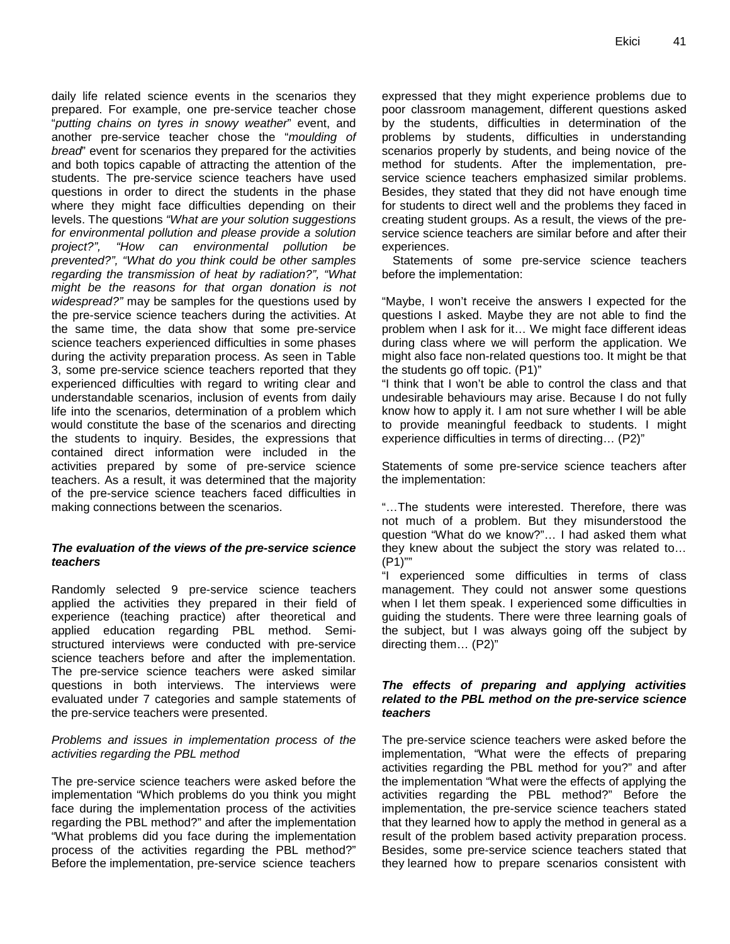daily life related science events in the scenarios they prepared. For example, one pre-service teacher chose "*putting chains on tyres in snowy weather*" event, and another pre-service teacher chose the "*moulding of bread*" event for scenarios they prepared for the activities and both topics capable of attracting the attention of the students. The pre-service science teachers have used questions in order to direct the students in the phase where they might face difficulties depending on their levels. The questions *"What are your solution suggestions for environmental pollution and please provide a solution project?", "How can environmental pollution be prevented?", "What do you think could be other samples regarding the transmission of heat by radiation?", "What might be the reasons for that organ donation is not widespread?"* may be samples for the questions used by the pre-service science teachers during the activities. At the same time, the data show that some pre-service science teachers experienced difficulties in some phases during the activity preparation process. As seen in Table 3, some pre-service science teachers reported that they experienced difficulties with regard to writing clear and understandable scenarios, inclusion of events from daily life into the scenarios, determination of a problem which would constitute the base of the scenarios and directing the students to inquiry. Besides, the expressions that contained direct information were included in the activities prepared by some of pre-service science teachers. As a result, it was determined that the majority of the pre-service science teachers faced difficulties in making connections between the scenarios.

#### *The evaluation of the views of the pre-service science teachers*

Randomly selected 9 pre-service science teachers applied the activities they prepared in their field of experience (teaching practice) after theoretical and applied education regarding PBL method. Semistructured interviews were conducted with pre-service science teachers before and after the implementation. The pre-service science teachers were asked similar questions in both interviews. The interviews were evaluated under 7 categories and sample statements of the pre-service teachers were presented.

#### *Problems and issues in implementation process of the activities regarding the PBL method*

The pre-service science teachers were asked before the implementation "Which problems do you think you might face during the implementation process of the activities regarding the PBL method?" and after the implementation "What problems did you face during the implementation process of the activities regarding the PBL method?" Before the implementation, pre-service science teachers

expressed that they might experience problems due to poor classroom management, different questions asked by the students, difficulties in determination of the problems by students, difficulties in understanding scenarios properly by students, and being novice of the method for students. After the implementation, preservice science teachers emphasized similar problems. Besides, they stated that they did not have enough time for students to direct well and the problems they faced in creating student groups. As a result, the views of the preservice science teachers are similar before and after their experiences.

Statements of some pre-service science teachers before the implementation:

"Maybe, I won't receive the answers I expected for the questions I asked. Maybe they are not able to find the problem when I ask for it… We might face different ideas during class where we will perform the application. We might also face non-related questions too. It might be that the students go off topic. (P1)"

"I think that I won't be able to control the class and that undesirable behaviours may arise. Because I do not fully know how to apply it. I am not sure whether I will be able to provide meaningful feedback to students. I might experience difficulties in terms of directing… (P2)"

Statements of some pre-service science teachers after the implementation:

"…The students were interested. Therefore, there was not much of a problem. But they misunderstood the question "What do we know?"… I had asked them what they knew about the subject the story was related to… (P1)""

"I experienced some difficulties in terms of class management. They could not answer some questions when I let them speak. I experienced some difficulties in guiding the students. There were three learning goals of the subject, but I was always going off the subject by directing them… (P2)"

#### *The effects of preparing and applying activities related to the PBL method on the pre-service science teachers*

The pre-service science teachers were asked before the implementation, "What were the effects of preparing activities regarding the PBL method for you?" and after the implementation "What were the effects of applying the activities regarding the PBL method?" Before the implementation, the pre-service science teachers stated that they learned how to apply the method in general as a result of the problem based activity preparation process. Besides, some pre-service science teachers stated that they learned how to prepare scenarios consistent with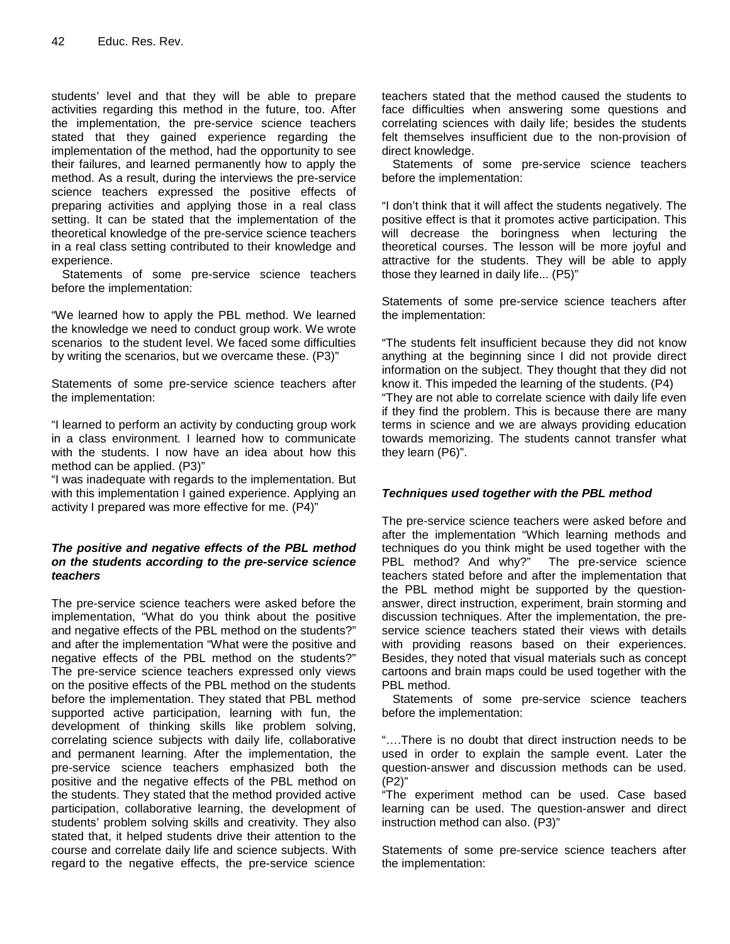students' level and that they will be able to prepare activities regarding this method in the future, too. After the implementation, the pre-service science teachers stated that they gained experience regarding the implementation of the method, had the opportunity to see their failures, and learned permanently how to apply the method. As a result, during the interviews the pre-service science teachers expressed the positive effects of preparing activities and applying those in a real class setting. It can be stated that the implementation of the theoretical knowledge of the pre-service science teachers in a real class setting contributed to their knowledge and experience.

Statements of some pre-service science teachers before the implementation:

"We learned how to apply the PBL method. We learned the knowledge we need to conduct group work. We wrote scenarios to the student level. We faced some difficulties by writing the scenarios, but we overcame these. (P3)"

Statements of some pre-service science teachers after the implementation:

"I learned to perform an activity by conducting group work in a class environment. I learned how to communicate with the students. I now have an idea about how this method can be applied. (P3)"

"I was inadequate with regards to the implementation. But with this implementation I gained experience. Applying an activity I prepared was more effective for me. (P4)"

#### *The positive and negative effects of the PBL method on the students according to the pre-service science teachers*

The pre-service science teachers were asked before the implementation, "What do you think about the positive and negative effects of the PBL method on the students?" and after the implementation "What were the positive and negative effects of the PBL method on the students?" The pre-service science teachers expressed only views on the positive effects of the PBL method on the students before the implementation. They stated that PBL method supported active participation, learning with fun, the development of thinking skills like problem solving, correlating science subjects with daily life, collaborative and permanent learning. After the implementation, the pre-service science teachers emphasized both the positive and the negative effects of the PBL method on the students. They stated that the method provided active participation, collaborative learning, the development of students' problem solving skills and creativity. They also stated that, it helped students drive their attention to the course and correlate daily life and science subjects. With regard to the negative effects, the pre-service science

teachers stated that the method caused the students to face difficulties when answering some questions and correlating sciences with daily life; besides the students felt themselves insufficient due to the non-provision of direct knowledge.

Statements of some pre-service science teachers before the implementation:

"I don't think that it will affect the students negatively. The positive effect is that it promotes active participation. This will decrease the boringness when lecturing the theoretical courses. The lesson will be more joyful and attractive for the students. They will be able to apply those they learned in daily life... (P5)"

Statements of some pre-service science teachers after the implementation:

"The students felt insufficient because they did not know anything at the beginning since I did not provide direct information on the subject. They thought that they did not know it. This impeded the learning of the students. (P4) "They are not able to correlate science with daily life even if they find the problem. This is because there are many terms in science and we are always providing education towards memorizing. The students cannot transfer what they learn (P6)".

# *Techniques used together with the PBL method*

The pre-service science teachers were asked before and after the implementation "Which learning methods and techniques do you think might be used together with the PBL method? And why?" The pre-service science teachers stated before and after the implementation that the PBL method might be supported by the questionanswer, direct instruction, experiment, brain storming and discussion techniques. After the implementation, the preservice science teachers stated their views with details with providing reasons based on their experiences. Besides, they noted that visual materials such as concept cartoons and brain maps could be used together with the PBL method.

Statements of some pre-service science teachers before the implementation:

"….There is no doubt that direct instruction needs to be used in order to explain the sample event. Later the question-answer and discussion methods can be used. (P2)"

"The experiment method can be used. Case based learning can be used. The question-answer and direct instruction method can also. (P3)"

Statements of some pre-service science teachers after the implementation: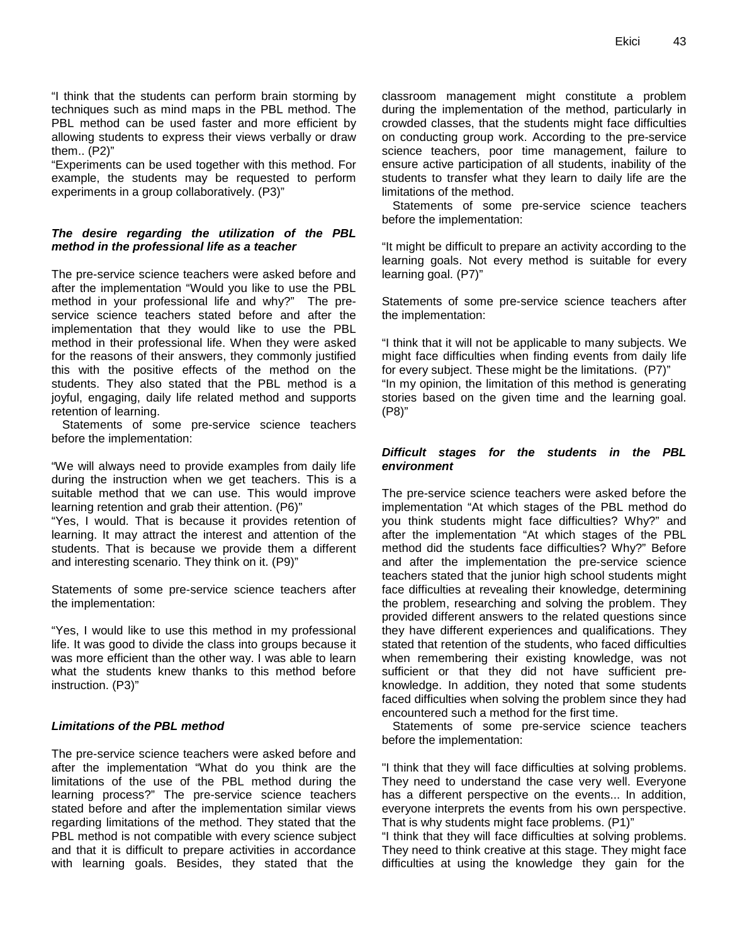"I think that the students can perform brain storming by techniques such as mind maps in the PBL method. The PBL method can be used faster and more efficient by allowing students to express their views verbally or draw them.. (P2)"

"Experiments can be used together with this method. For example, the students may be requested to perform experiments in a group collaboratively. (P3)"

#### *The desire regarding the utilization of the PBL method in the professional life as a teacher*

The pre-service science teachers were asked before and after the implementation "Would you like to use the PBL method in your professional life and why?" The preservice science teachers stated before and after the implementation that they would like to use the PBL method in their professional life. When they were asked for the reasons of their answers, they commonly justified this with the positive effects of the method on the students. They also stated that the PBL method is a joyful, engaging, daily life related method and supports retention of learning.

Statements of some pre-service science teachers before the implementation:

"We will always need to provide examples from daily life during the instruction when we get teachers. This is a suitable method that we can use. This would improve learning retention and grab their attention. (P6)"

"Yes, I would. That is because it provides retention of learning. It may attract the interest and attention of the students. That is because we provide them a different and interesting scenario. They think on it. (P9)"

Statements of some pre-service science teachers after the implementation:

"Yes, I would like to use this method in my professional life. It was good to divide the class into groups because it was more efficient than the other way. I was able to learn what the students knew thanks to this method before instruction. (P3)"

#### *Limitations of the PBL method*

The pre-service science teachers were asked before and after the implementation "What do you think are the limitations of the use of the PBL method during the learning process?" The pre-service science teachers stated before and after the implementation similar views regarding limitations of the method. They stated that the PBL method is not compatible with every science subject and that it is difficult to prepare activities in accordance with learning goals. Besides, they stated that the

classroom management might constitute a problem during the implementation of the method, particularly in crowded classes, that the students might face difficulties on conducting group work. According to the pre-service science teachers, poor time management, failure to ensure active participation of all students, inability of the students to transfer what they learn to daily life are the limitations of the method.

Statements of some pre-service science teachers before the implementation:

"It might be difficult to prepare an activity according to the learning goals. Not every method is suitable for every learning goal. (P7)"

Statements of some pre-service science teachers after the implementation:

"I think that it will not be applicable to many subjects. We might face difficulties when finding events from daily life for every subject. These might be the limitations. (P7)" "In my opinion, the limitation of this method is generating stories based on the given time and the learning goal. (P8)"

#### *Difficult stages for the students in the PBL environment*

The pre-service science teachers were asked before the implementation "At which stages of the PBL method do you think students might face difficulties? Why?" and after the implementation "At which stages of the PBL method did the students face difficulties? Why?" Before and after the implementation the pre-service science teachers stated that the junior high school students might face difficulties at revealing their knowledge, determining the problem, researching and solving the problem. They provided different answers to the related questions since they have different experiences and qualifications. They stated that retention of the students, who faced difficulties when remembering their existing knowledge, was not sufficient or that they did not have sufficient preknowledge. In addition, they noted that some students faced difficulties when solving the problem since they had encountered such a method for the first time.

Statements of some pre-service science teachers before the implementation:

"I think that they will face difficulties at solving problems. They need to understand the case very well. Everyone has a different perspective on the events... In addition, everyone interprets the events from his own perspective. That is why students might face problems. (P1)"

"I think that they will face difficulties at solving problems. They need to think creative at this stage. They might face difficulties at using the knowledge they gain for the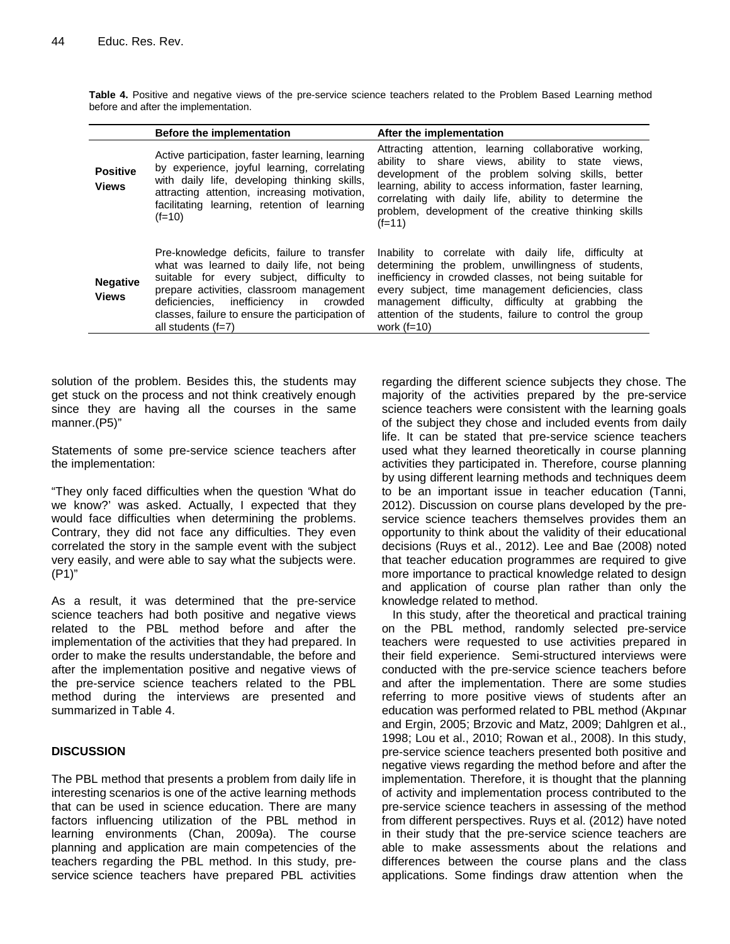**Table 4.** Positive and negative views of the pre-service science teachers related to the Problem Based Learning method before and after the implementation.

|                                 | Before the implementation                                                                                                                                                                                                                                                                             | After the implementation                                                                                                                                                                                                                                                                                                                                       |
|---------------------------------|-------------------------------------------------------------------------------------------------------------------------------------------------------------------------------------------------------------------------------------------------------------------------------------------------------|----------------------------------------------------------------------------------------------------------------------------------------------------------------------------------------------------------------------------------------------------------------------------------------------------------------------------------------------------------------|
| <b>Positive</b><br><b>Views</b> | Active participation, faster learning, learning<br>by experience, joyful learning, correlating<br>with daily life, developing thinking skills,<br>attracting attention, increasing motivation,<br>facilitating learning, retention of learning<br>$(f=10)$                                            | Attracting attention, learning collaborative working,<br>ability to share views, ability to state views,<br>development of the problem solving skills, better<br>learning, ability to access information, faster learning,<br>correlating with daily life, ability to determine the<br>problem, development of the creative thinking skills<br>$(f=11)$        |
| <b>Negative</b><br><b>Views</b> | Pre-knowledge deficits, failure to transfer<br>what was learned to daily life, not being<br>suitable for every subject, difficulty to<br>prepare activities, classroom management<br>deficiencies, inefficiency in crowded<br>classes, failure to ensure the participation of<br>all students $(f=7)$ | Inability to correlate with daily life, difficulty at<br>determining the problem, unwillingness of students,<br>inefficiency in crowded classes, not being suitable for<br>every subject, time management deficiencies, class<br>management difficulty, difficulty at grabbing the<br>attention of the students, failure to control the group<br>work $(f=10)$ |

solution of the problem. Besides this, the students may get stuck on the process and not think creatively enough since they are having all the courses in the same manner.(P5)"

Statements of some pre-service science teachers after the implementation:

"They only faced difficulties when the question 'What do we know?' was asked. Actually, I expected that they would face difficulties when determining the problems. Contrary, they did not face any difficulties. They even correlated the story in the sample event with the subject very easily, and were able to say what the subjects were. (P1)"

As a result, it was determined that the pre-service science teachers had both positive and negative views related to the PBL method before and after the implementation of the activities that they had prepared. In order to make the results understandable, the before and after the implementation positive and negative views of the pre-service science teachers related to the PBL method during the interviews are presented and summarized in Table 4.

# **DISCUSSION**

The PBL method that presents a problem from daily life in interesting scenarios is one of the active learning methods that can be used in science education. There are many factors influencing utilization of the PBL method in learning environments (Chan, 2009a). The course planning and application are main competencies of the teachers regarding the PBL method. In this study, preservice science teachers have prepared PBL activities regarding the different science subjects they chose. The majority of the activities prepared by the pre-service science teachers were consistent with the learning goals of the subject they chose and included events from daily life. It can be stated that pre-service science teachers used what they learned theoretically in course planning activities they participated in. Therefore, course planning by using different learning methods and techniques deem to be an important issue in teacher education (Tanni, 2012). Discussion on course plans developed by the preservice science teachers themselves provides them an opportunity to think about the validity of their educational decisions (Ruys et al., 2012). Lee and Bae (2008) noted that teacher education programmes are required to give more importance to practical knowledge related to design and application of course plan rather than only the knowledge related to method.

In this study, after the theoretical and practical training on the PBL method, randomly selected pre-service teachers were requested to use activities prepared in their field experience. Semi-structured interviews were conducted with the pre-service science teachers before and after the implementation. There are some studies referring to more positive views of students after an education was performed related to PBL method (Akpınar and Ergin, 2005; Brzovic and Matz, 2009; Dahlgren et al., 1998; Lou et al., 2010; Rowan et al., 2008). In this study, pre-service science teachers presented both positive and negative views regarding the method before and after the implementation. Therefore, it is thought that the planning of activity and implementation process contributed to the pre-service science teachers in assessing of the method from different perspectives. Ruys et al. (2012) have noted in their study that the pre-service science teachers are able to make assessments about the relations and differences between the course plans and the class applications. Some findings draw attention when the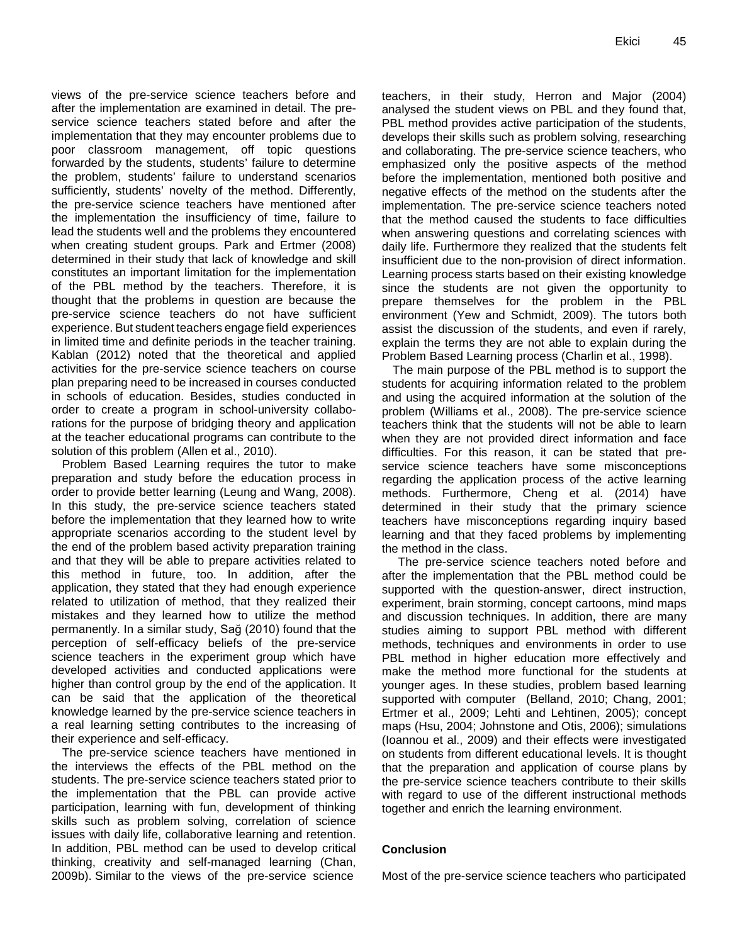views of the pre-service science teachers before and after the implementation are examined in detail. The preservice science teachers stated before and after the implementation that they may encounter problems due to poor classroom management, off topic questions forwarded by the students, students' failure to determine the problem, students' failure to understand scenarios sufficiently, students' novelty of the method. Differently, the pre-service science teachers have mentioned after the implementation the insufficiency of time, failure to lead the students well and the problems they encountered when creating student groups. Park and Ertmer (2008) determined in their study that lack of knowledge and skill constitutes an important limitation for the implementation of the PBL method by the teachers. Therefore, it is thought that the problems in question are because the pre-service science teachers do not have sufficient experience. But student teachers engage field experiences in limited time and definite periods in the teacher training. Kablan (2012) noted that the theoretical and applied activities for the pre-service science teachers on course plan preparing need to be increased in courses conducted in schools of education. Besides, studies conducted in order to create a program in school-university collaborations for the purpose of bridging theory and application at the teacher educational programs can contribute to the solution of this problem (Allen et al., 2010).

Problem Based Learning requires the tutor to make preparation and study before the education process in order to provide better learning (Leung and Wang, 2008). In this study, the pre-service science teachers stated before the implementation that they learned how to write appropriate scenarios according to the student level by the end of the problem based activity preparation training and that they will be able to prepare activities related to this method in future, too. In addition, after the application, they stated that they had enough experience related to utilization of method, that they realized their mistakes and they learned how to utilize the method permanently. In a similar study, Sağ (2010) found that the perception of self-efficacy beliefs of the pre-service science teachers in the experiment group which have developed activities and conducted applications were higher than control group by the end of the application. It can be said that the application of the theoretical knowledge learned by the pre-service science teachers in a real learning setting contributes to the increasing of their experience and self-efficacy.

The pre-service science teachers have mentioned in the interviews the effects of the PBL method on the students. The pre-service science teachers stated prior to the implementation that the PBL can provide active participation, learning with fun, development of thinking skills such as problem solving, correlation of science issues with daily life, collaborative learning and retention. In addition, PBL method can be used to develop critical thinking, creativity and self-managed learning (Chan, 2009b). Similar to the views of the pre-service science

teachers, in their study, Herron and Major (2004) analysed the student views on PBL and they found that, PBL method provides active participation of the students, develops their skills such as problem solving, researching and collaborating. The pre-service science teachers, who emphasized only the positive aspects of the method before the implementation, mentioned both positive and negative effects of the method on the students after the implementation. The pre-service science teachers noted that the method caused the students to face difficulties when answering questions and correlating sciences with daily life. Furthermore they realized that the students felt insufficient due to the non-provision of direct information. Learning process starts based on their existing knowledge since the students are not given the opportunity to prepare themselves for the problem in the PBL environment (Yew and Schmidt, 2009). The tutors both assist the discussion of the students, and even if rarely, explain the terms they are not able to explain during the Problem Based Learning process (Charlin et al., 1998).

The main purpose of the PBL method is to support the students for acquiring information related to the problem and using the acquired information at the solution of the problem (Williams et al., 2008). The pre-service science teachers think that the students will not be able to learn when they are not provided direct information and face difficulties. For this reason, it can be stated that preservice science teachers have some misconceptions regarding the application process of the active learning methods. Furthermore, Cheng et al. (2014) have determined in their study that the primary science teachers have misconceptions regarding inquiry based learning and that they faced problems by implementing the method in the class.

The pre-service science teachers noted before and after the implementation that the PBL method could be supported with the question-answer, direct instruction, experiment, brain storming, concept cartoons, mind maps and discussion techniques. In addition, there are many studies aiming to support PBL method with different methods, techniques and environments in order to use PBL method in higher education more effectively and make the method more functional for the students at younger ages. In these studies, problem based learning supported with computer (Belland, 2010; Chang, 2001; Ertmer et al., 2009; Lehti and Lehtinen, 2005); concept maps (Hsu, 2004; Johnstone and Otis, 2006); simulations (Ioannou et al., 2009) and their effects were investigated on students from different educational levels. It is thought that the preparation and application of course plans by the pre-service science teachers contribute to their skills with regard to use of the different instructional methods together and enrich the learning environment.

#### **Conclusion**

Most of the pre-service science teachers who participated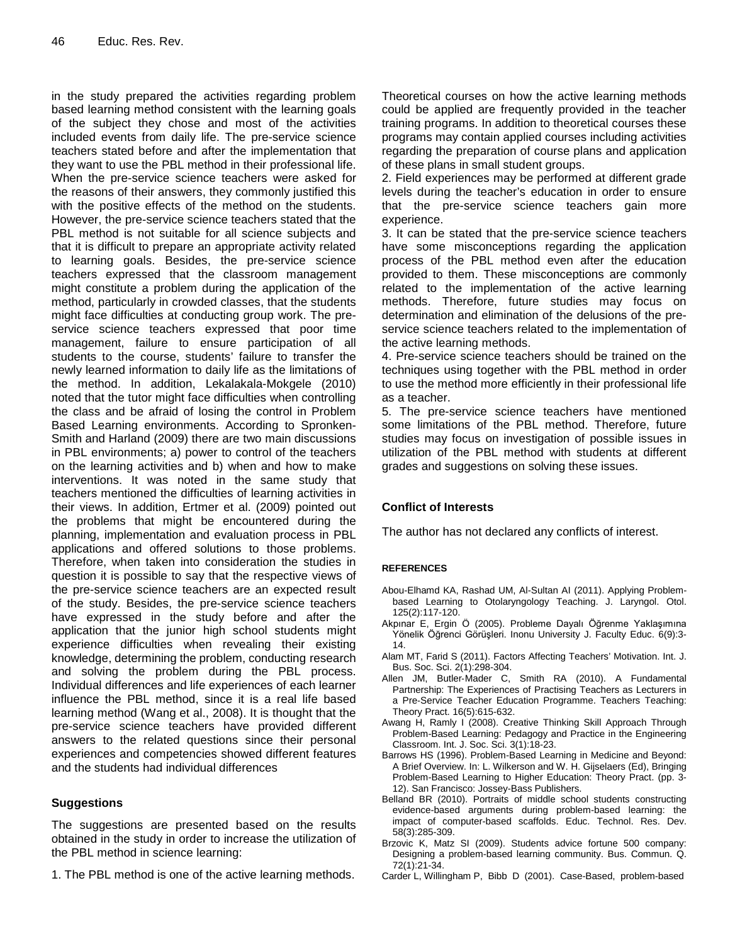in the study prepared the activities regarding problem based learning method consistent with the learning goals of the subject they chose and most of the activities included events from daily life. The pre-service science teachers stated before and after the implementation that they want to use the PBL method in their professional life. When the pre-service science teachers were asked for the reasons of their answers, they commonly justified this with the positive effects of the method on the students. However, the pre-service science teachers stated that the PBL method is not suitable for all science subjects and that it is difficult to prepare an appropriate activity related to learning goals. Besides, the pre-service science teachers expressed that the classroom management might constitute a problem during the application of the method, particularly in crowded classes, that the students might face difficulties at conducting group work. The preservice science teachers expressed that poor time management, failure to ensure participation of all students to the course, students' failure to transfer the newly learned information to daily life as the limitations of the method. In addition, Lekalakala-Mokgele (2010) noted that the tutor might face difficulties when controlling the class and be afraid of losing the control in Problem Based Learning environments. According to Spronken-Smith and Harland (2009) there are two main discussions in PBL environments; a) power to control of the teachers on the learning activities and b) when and how to make interventions. It was noted in the same study that teachers mentioned the difficulties of learning activities in their views. In addition, Ertmer et al. (2009) pointed out the problems that might be encountered during the planning, implementation and evaluation process in PBL applications and offered solutions to those problems. Therefore, when taken into consideration the studies in question it is possible to say that the respective views of the pre-service science teachers are an expected result of the study. Besides, the pre-service science teachers have expressed in the study before and after the application that the junior high school students might experience difficulties when revealing their existing knowledge, determining the problem, conducting research and solving the problem during the PBL process. Individual differences and life experiences of each learner influence the PBL method, since it is a real life based learning method (Wang et al., 2008). It is thought that the pre-service science teachers have provided different answers to the related questions since their personal experiences and competencies showed different features and the students had individual differences

# **Suggestions**

The suggestions are presented based on the results obtained in the study in order to increase the utilization of the PBL method in science learning:

1. The PBL method is one of the active learning methods.

Theoretical courses on how the active learning methods could be applied are frequently provided in the teacher training programs. In addition to theoretical courses these programs may contain applied courses including activities regarding the preparation of course plans and application of these plans in small student groups.

2. Field experiences may be performed at different grade levels during the teacher's education in order to ensure that the pre-service science teachers gain more experience.

3. It can be stated that the pre-service science teachers have some misconceptions regarding the application process of the PBL method even after the education provided to them. These misconceptions are commonly related to the implementation of the active learning methods. Therefore, future studies may focus on determination and elimination of the delusions of the preservice science teachers related to the implementation of the active learning methods.

4. Pre-service science teachers should be trained on the techniques using together with the PBL method in order to use the method more efficiently in their professional life as a teacher.

5. The pre-service science teachers have mentioned some limitations of the PBL method. Therefore, future studies may focus on investigation of possible issues in utilization of the PBL method with students at different grades and suggestions on solving these issues.

# **Conflict of Interests**

The author has not declared any conflicts of interest.

#### **REFERENCES**

- Abou-Elhamd KA, Rashad UM, Al-Sultan AI (2011). Applying Problembased Learning to Otolaryngology Teaching. J. Laryngol. Otol. 125(2):117-120.
- Akpınar E, Ergin Ö (2005). Probleme Dayalı Öğrenme Yaklaşımına Yönelik Öğrenci Görüşleri. Inonu University J. Faculty Educ. 6(9):3- 14.
- Alam MT, Farid S (2011). Factors Affecting Teachers' Motivation. Int. J. Bus. Soc. Sci. 2(1):298-304.
- Allen JM, Butler‐Mader C, Smith RA (2010). A Fundamental Partnership: The Experiences of Practising Teachers as Lecturers in a Pre‐Service Teacher Education Programme. Teachers Teaching: Theory Pract. 16(5):615-632.
- Awang H, Ramly I (2008). Creative Thinking Skill Approach Through Problem-Based Learning: Pedagogy and Practice in the Engineering Classroom. Int. J. Soc. Sci. 3(1):18-23.
- Barrows HS (1996). Problem-Based Learning in Medicine and Beyond: A Brief Overview. In: L. Wilkerson and W. H. Gijselaers (Ed), Bringing Problem-Based Learning to Higher Education: Theory Pract. (pp. 3- 12). San Francisco: Jossey-Bass Publishers.
- Belland BR (2010). Portraits of middle school students constructing evidence-based arguments during problem-based learning: the impact of computer-based scaffolds. Educ. Technol. Res. Dev. 58(3):285-309.
- Brzovic K, Matz SI (2009). Students advice fortune 500 company: Designing a problem-based learning community. Bus. Commun. Q. 72(1):21-34.
- Carder L, Willingham P, Bibb D (2001). Case-Based, problem-based